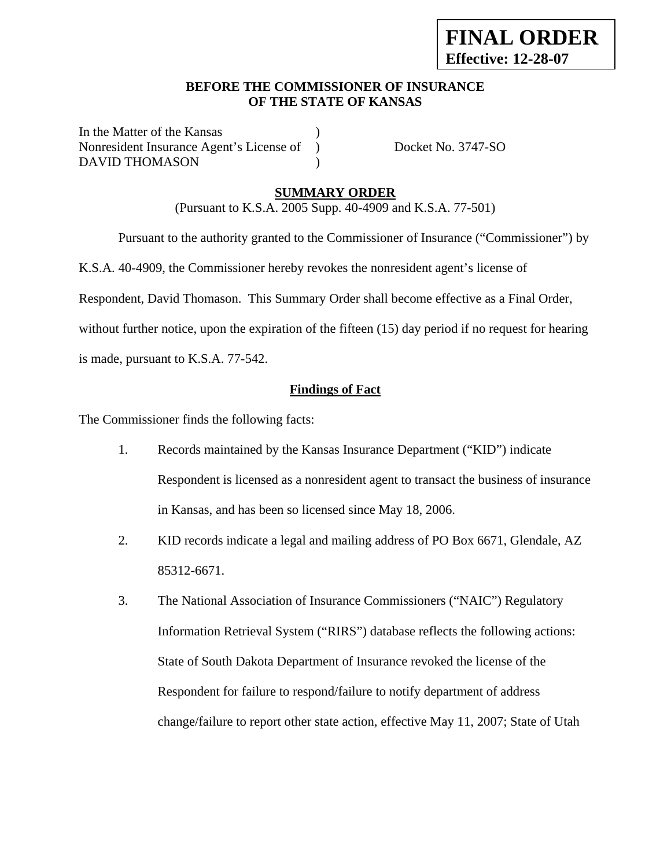## **BEFORE THE COMMISSIONER OF INSURANCE OF THE STATE OF KANSAS**

In the Matter of the Kansas Nonresident Insurance Agent's License of ) Docket No. 3747-SO DAVID THOMASON (1)

## **SUMMARY ORDER**

(Pursuant to K.S.A. 2005 Supp. 40-4909 and K.S.A. 77-501)

Pursuant to the authority granted to the Commissioner of Insurance ("Commissioner") by

K.S.A. 40-4909, the Commissioner hereby revokes the nonresident agent's license of

Respondent, David Thomason. This Summary Order shall become effective as a Final Order,

without further notice, upon the expiration of the fifteen (15) day period if no request for hearing

is made, pursuant to K.S.A. 77-542.

### **Findings of Fact**

The Commissioner finds the following facts:

- 1. Records maintained by the Kansas Insurance Department ("KID") indicate Respondent is licensed as a nonresident agent to transact the business of insurance in Kansas, and has been so licensed since May 18, 2006.
- 2. KID records indicate a legal and mailing address of PO Box 6671, Glendale, AZ 85312-6671.
- 3. The National Association of Insurance Commissioners ("NAIC") Regulatory Information Retrieval System ("RIRS") database reflects the following actions: State of South Dakota Department of Insurance revoked the license of the Respondent for failure to respond/failure to notify department of address change/failure to report other state action, effective May 11, 2007; State of Utah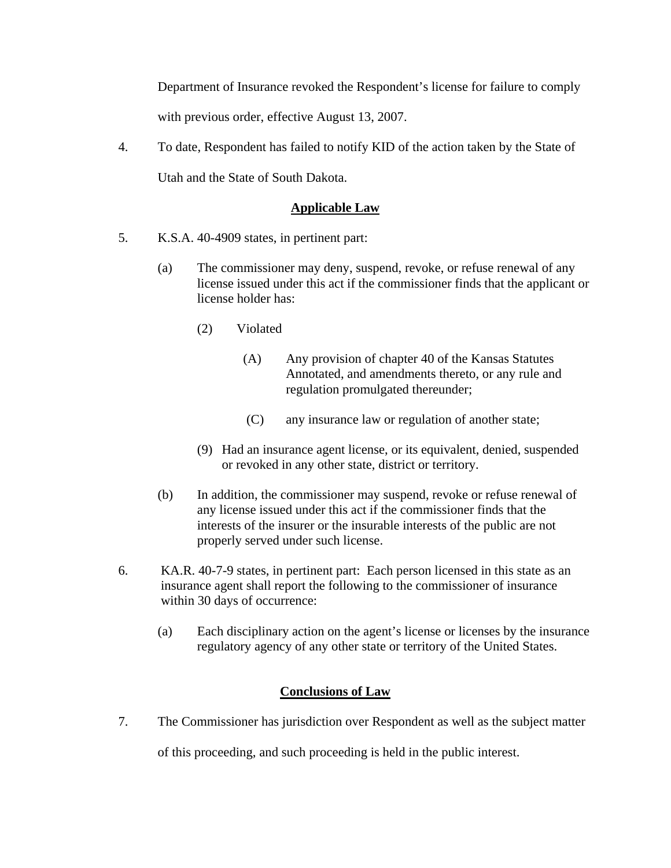Department of Insurance revoked the Respondent's license for failure to comply with previous order, effective August 13, 2007.

4. To date, Respondent has failed to notify KID of the action taken by the State of Utah and the State of South Dakota.

# **Applicable Law**

- 5. K.S.A. 40-4909 states, in pertinent part:
	- (a) The commissioner may deny, suspend, revoke, or refuse renewal of any license issued under this act if the commissioner finds that the applicant or license holder has:
		- (2) Violated
			- (A) Any provision of chapter 40 of the Kansas Statutes Annotated, and amendments thereto, or any rule and regulation promulgated thereunder;
			- (C) any insurance law or regulation of another state;
		- (9) Had an insurance agent license, or its equivalent, denied, suspended or revoked in any other state, district or territory.
	- (b) In addition, the commissioner may suspend, revoke or refuse renewal of any license issued under this act if the commissioner finds that the interests of the insurer or the insurable interests of the public are not properly served under such license.
- 6. KA.R. 40-7-9 states, in pertinent part: Each person licensed in this state as an insurance agent shall report the following to the commissioner of insurance within 30 days of occurrence:
	- (a) Each disciplinary action on the agent's license or licenses by the insurance regulatory agency of any other state or territory of the United States.

# **Conclusions of Law**

7. The Commissioner has jurisdiction over Respondent as well as the subject matter

of this proceeding, and such proceeding is held in the public interest.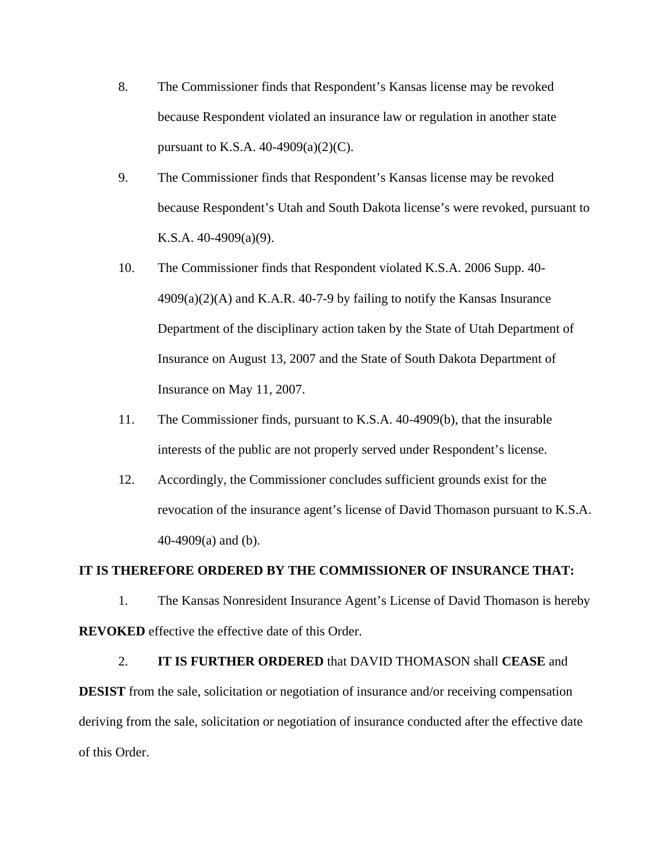- 8. The Commissioner finds that Respondent's Kansas license may be revoked because Respondent violated an insurance law or regulation in another state pursuant to K.S.A. 40-4909(a)(2)(C).
- 9. The Commissioner finds that Respondent's Kansas license may be revoked because Respondent's Utah and South Dakota license's were revoked, pursuant to K.S.A. 40-4909(a)(9).
- 10. The Commissioner finds that Respondent violated K.S.A. 2006 Supp. 40-  $4909(a)(2)(A)$  and K.A.R. 40-7-9 by failing to notify the Kansas Insurance Department of the disciplinary action taken by the State of Utah Department of Insurance on August 13, 2007 and the State of South Dakota Department of Insurance on May 11, 2007.
- 11. The Commissioner finds, pursuant to K.S.A. 40-4909(b), that the insurable interests of the public are not properly served under Respondent's license.
- 12. Accordingly, the Commissioner concludes sufficient grounds exist for the revocation of the insurance agent's license of David Thomason pursuant to K.S.A. 40-4909(a) and (b).

#### **IT IS THEREFORE ORDERED BY THE COMMISSIONER OF INSURANCE THAT:**

1. The Kansas Nonresident Insurance Agent's License of David Thomason is hereby **REVOKED** effective the effective date of this Order.

#### 2. **IT IS FURTHER ORDERED** that DAVID THOMASON shall **CEASE** and

**DESIST** from the sale, solicitation or negotiation of insurance and/or receiving compensation deriving from the sale, solicitation or negotiation of insurance conducted after the effective date of this Order.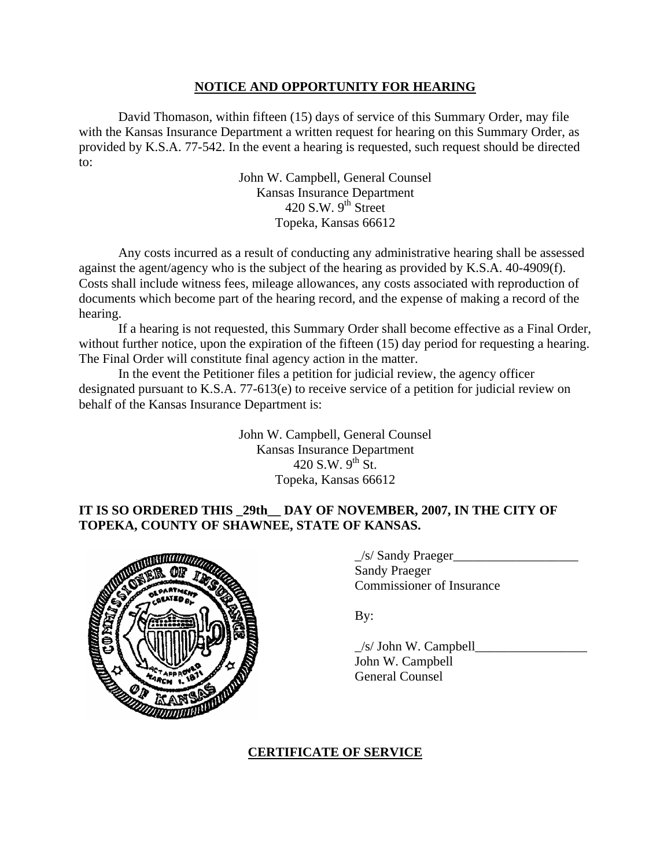### **NOTICE AND OPPORTUNITY FOR HEARING**

David Thomason, within fifteen (15) days of service of this Summary Order, may file with the Kansas Insurance Department a written request for hearing on this Summary Order, as provided by K.S.A. 77-542. In the event a hearing is requested, such request should be directed to:

> John W. Campbell, General Counsel Kansas Insurance Department 420 S.W.  $9<sup>th</sup>$  Street Topeka, Kansas 66612

Any costs incurred as a result of conducting any administrative hearing shall be assessed against the agent/agency who is the subject of the hearing as provided by K.S.A. 40-4909(f). Costs shall include witness fees, mileage allowances, any costs associated with reproduction of documents which become part of the hearing record, and the expense of making a record of the hearing.

If a hearing is not requested, this Summary Order shall become effective as a Final Order, without further notice, upon the expiration of the fifteen (15) day period for requesting a hearing. The Final Order will constitute final agency action in the matter.

In the event the Petitioner files a petition for judicial review, the agency officer designated pursuant to K.S.A. 77-613(e) to receive service of a petition for judicial review on behalf of the Kansas Insurance Department is:

> John W. Campbell, General Counsel Kansas Insurance Department 420 S.W.  $9^{th}$  St. Topeka, Kansas 66612

# **IT IS SO ORDERED THIS \_29th\_\_ DAY OF NOVEMBER, 2007, IN THE CITY OF TOPEKA, COUNTY OF SHAWNEE, STATE OF KANSAS.**



\_/s/ Sandy Praeger\_\_\_\_\_\_\_\_\_\_\_\_\_\_\_\_\_\_\_ **Sandy Praeger** Commissioner of Insurance

By:

 $/s/$  John W. Campbell John W. Campbell General Counsel

### **CERTIFICATE OF SERVICE**